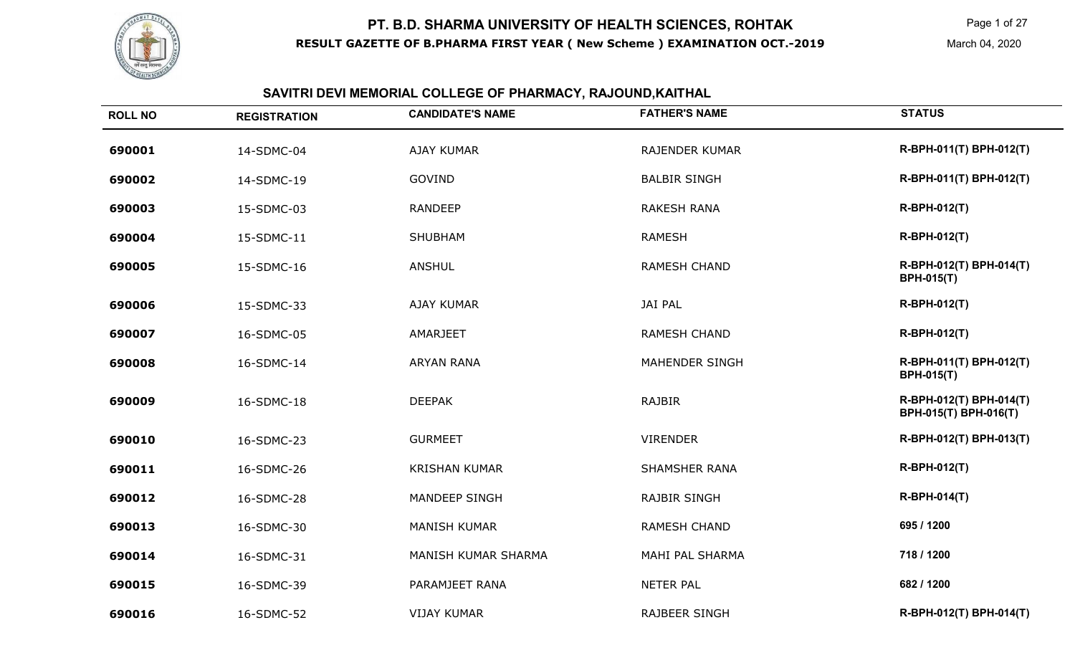

 Page 1 of 27 March 04, 2020

| <b>ROLL NO</b> | <b>REGISTRATION</b> | <b>CANDIDATE'S NAME</b> | <b>FATHER'S NAME</b> | <b>STATUS</b> |
|----------------|---------------------|-------------------------|----------------------|---------------|
| 690001         | 14-SDMC-04          | AJAY KUMAR              | RAJENDER KUMAR       | R-BPH-0       |
| 690002         | 14-SDMC-19          | GOVIND                  | <b>BALBIR SINGH</b>  | R-BPH-0       |

**SAVITRI DEVI MEMORIAL COLLEGE OF PHARMACY, RAJOUND,KAITHAL**

| 690001 | 14-SDMC-04 | <b>AJAY KUMAR</b>    | <b>RAJENDER KUMAR</b> | R-BPH-011(T) BPH-012(T)                          |
|--------|------------|----------------------|-----------------------|--------------------------------------------------|
| 690002 | 14-SDMC-19 | GOVIND               | <b>BALBIR SINGH</b>   | R-BPH-011(T) BPH-012(T)                          |
| 690003 | 15-SDMC-03 | <b>RANDEEP</b>       | <b>RAKESH RANA</b>    | R-BPH-012(T)                                     |
| 690004 | 15-SDMC-11 | <b>SHUBHAM</b>       | <b>RAMESH</b>         | R-BPH-012(T)                                     |
| 690005 | 15-SDMC-16 | <b>ANSHUL</b>        | <b>RAMESH CHAND</b>   | R-BPH-012(T) BPH-014(T)<br><b>BPH-015(T)</b>     |
| 690006 | 15-SDMC-33 | AJAY KUMAR           | <b>JAI PAL</b>        | R-BPH-012(T)                                     |
| 690007 | 16-SDMC-05 | AMARJEET             | <b>RAMESH CHAND</b>   | R-BPH-012(T)                                     |
| 690008 | 16-SDMC-14 | <b>ARYAN RANA</b>    | <b>MAHENDER SINGH</b> | R-BPH-011(T) BPH-012(T)<br><b>BPH-015(T)</b>     |
| 690009 | 16-SDMC-18 | <b>DEEPAK</b>        | <b>RAJBIR</b>         | R-BPH-012(T) BPH-014(T)<br>BPH-015(T) BPH-016(T) |
| 690010 | 16-SDMC-23 | <b>GURMEET</b>       | <b>VIRENDER</b>       | R-BPH-012(T) BPH-013(T)                          |
| 690011 | 16-SDMC-26 | <b>KRISHAN KUMAR</b> | <b>SHAMSHER RANA</b>  | R-BPH-012(T)                                     |
| 690012 | 16-SDMC-28 | <b>MANDEEP SINGH</b> | <b>RAJBIR SINGH</b>   | R-BPH-014(T)                                     |
| 690013 | 16-SDMC-30 | <b>MANISH KUMAR</b>  | <b>RAMESH CHAND</b>   | 695 / 1200                                       |
| 690014 | 16-SDMC-31 | MANISH KUMAR SHARMA  | MAHI PAL SHARMA       | 718 / 1200                                       |
| 690015 | 16-SDMC-39 | PARAMJEET RANA       | <b>NETER PAL</b>      | 682 / 1200                                       |
| 690016 | 16-SDMC-52 | <b>VIJAY KUMAR</b>   | <b>RAJBEER SINGH</b>  | R-BPH-012(T) BPH-014(T)                          |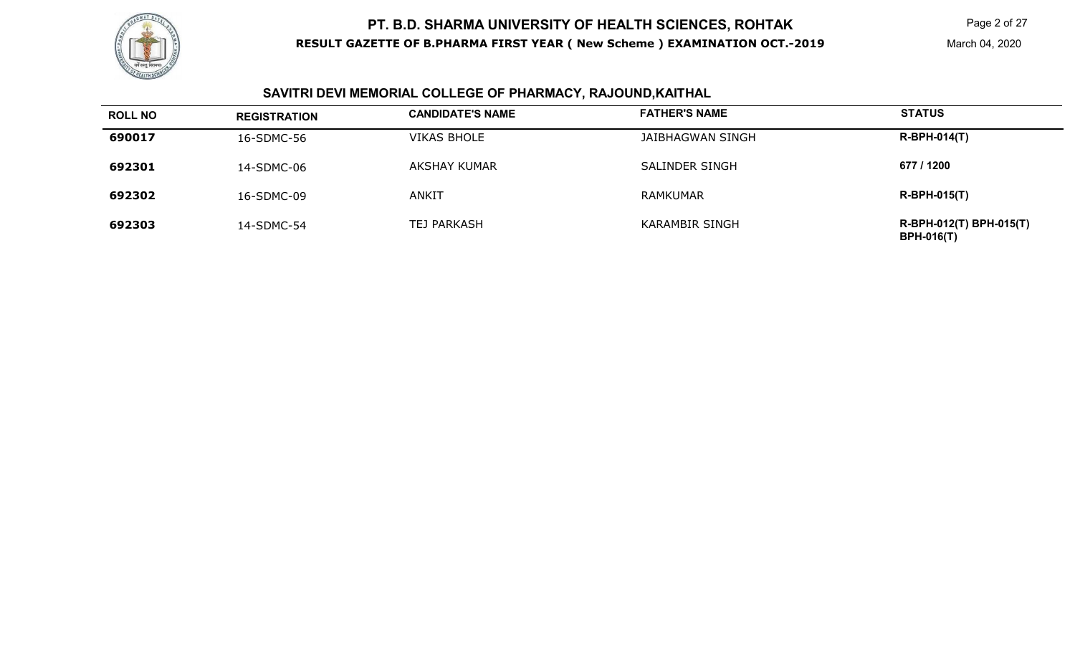

## **SAVITRI DEVI MEMORIAL COLLEGE OF PHARMACY, RAJOUND,KAITHAL**

| <b>ROLL NO</b> | <b>REGISTRATION</b> | <b>CANDIDATE'S NAME</b> | <b>FATHER'S NAME</b> | <b>STATUS</b>                                |
|----------------|---------------------|-------------------------|----------------------|----------------------------------------------|
| 690017         | 16-SDMC-56          | <b>VIKAS BHOLE</b>      | JAIBHAGWAN SINGH     | $R-BPH-014(T)$                               |
| 692301         | 14-SDMC-06          | <b>AKSHAY KUMAR</b>     | SALINDER SINGH       | 677 / 1200                                   |
| 692302         | 16-SDMC-09          | ANKIT                   | <b>RAMKUMAR</b>      | $R-BPH-015(T)$                               |
| 692303         | 14-SDMC-54          | <b>TEJ PARKASH</b>      | KARAMBIR SINGH       | R-BPH-012(T) BPH-015(T)<br><b>BPH-016(T)</b> |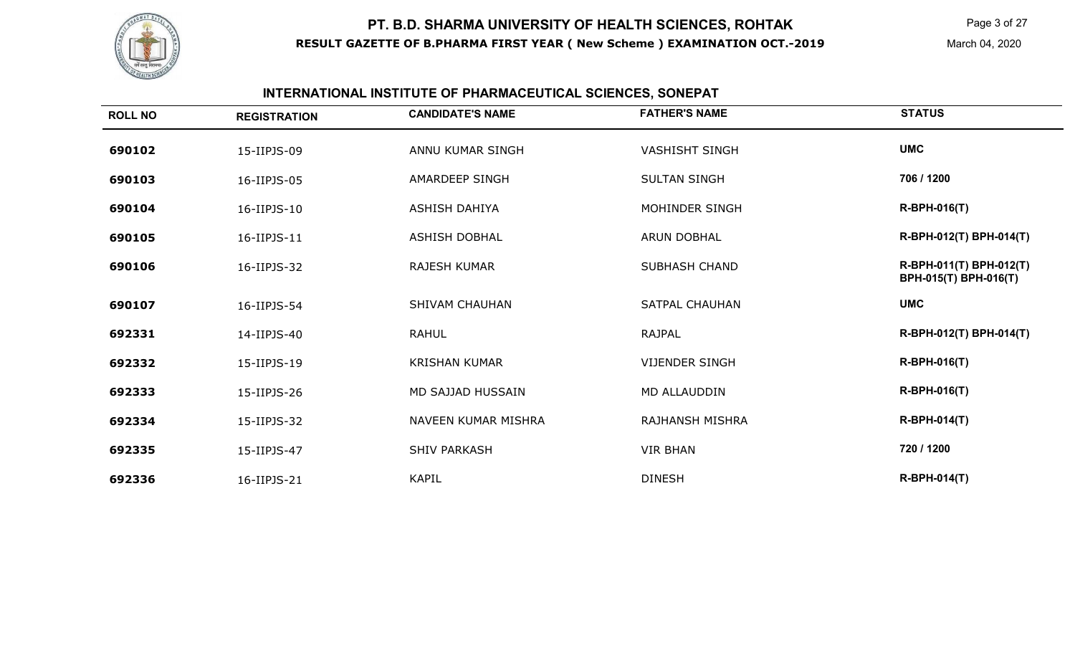

## **INTERNATIONAL INSTITUTE OF PHARMACEUTICAL SCIENCES, SONEPAT**

| <b>ROLL NO</b> | <b>REGISTRATION</b> | <b>CANDIDATE'S NAME</b> | <b>FATHER'S NAME</b>  | <b>STATUS</b>                                    |
|----------------|---------------------|-------------------------|-----------------------|--------------------------------------------------|
| 690102         | 15-IIPJS-09         | ANNU KUMAR SINGH        | <b>VASHISHT SINGH</b> | <b>UMC</b>                                       |
| 690103         | 16-IIPJS-05         | <b>AMARDEEP SINGH</b>   | <b>SULTAN SINGH</b>   | 706 / 1200                                       |
| 690104         | 16-IIPJS-10         | <b>ASHISH DAHIYA</b>    | MOHINDER SINGH        | <b>R-BPH-016(T)</b>                              |
| 690105         | 16-IIPJS-11         | <b>ASHISH DOBHAL</b>    | <b>ARUN DOBHAL</b>    | R-BPH-012(T) BPH-014(T)                          |
| 690106         | 16-IIPJS-32         | <b>RAJESH KUMAR</b>     | <b>SUBHASH CHAND</b>  | R-BPH-011(T) BPH-012(T)<br>BPH-015(T) BPH-016(T) |
| 690107         | 16-IIPJS-54         | <b>SHIVAM CHAUHAN</b>   | <b>SATPAL CHAUHAN</b> | <b>UMC</b>                                       |
| 692331         | 14-IIPJS-40         | <b>RAHUL</b>            | RAJPAL                | R-BPH-012(T) BPH-014(T)                          |
| 692332         | 15-IIPJS-19         | <b>KRISHAN KUMAR</b>    | <b>VIJENDER SINGH</b> | <b>R-BPH-016(T)</b>                              |
| 692333         | 15-IIPJS-26         | MD SAJJAD HUSSAIN       | MD ALLAUDDIN          | <b>R-BPH-016(T)</b>                              |
| 692334         | 15-IIPJS-32         | NAVEEN KUMAR MISHRA     | RAJHANSH MISHRA       | <b>R-BPH-014(T)</b>                              |
| 692335         | 15-IIPJS-47         | <b>SHIV PARKASH</b>     | <b>VIR BHAN</b>       | 720 / 1200                                       |
| 692336         | 16-IIPJS-21         | <b>KAPIL</b>            | <b>DINESH</b>         | <b>R-BPH-014(T)</b>                              |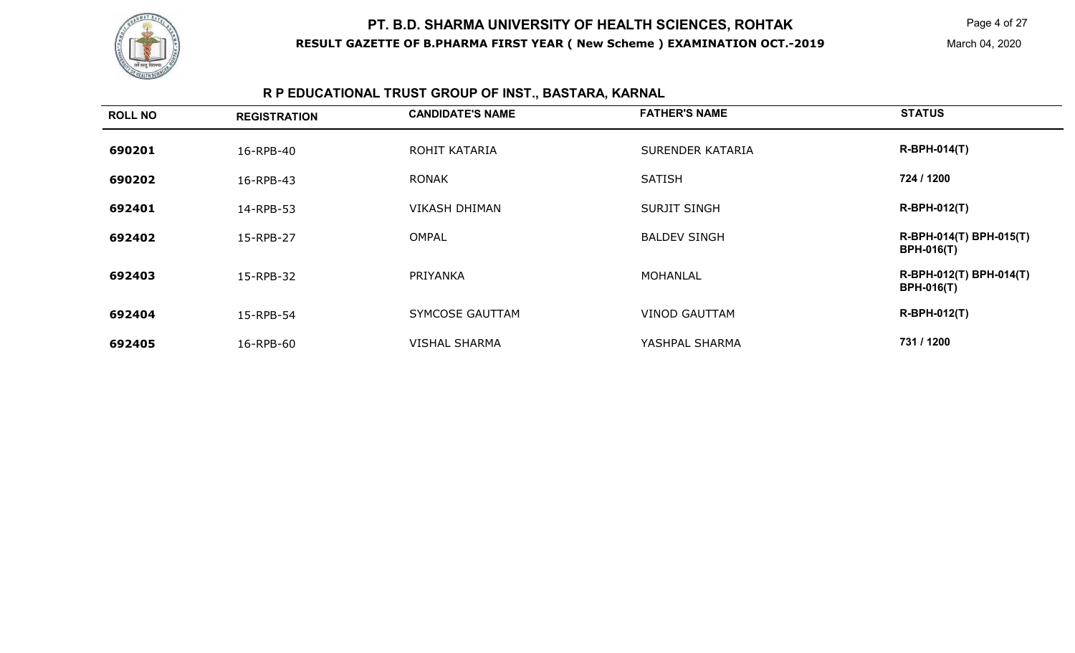

Page 4 of 27

March 04, 2020

## **R P EDUCATIONAL TRUST GROUP OF INST., BASTARA, KARNAL**

| <b>ROLL NO</b> | <b>REGISTRATION</b> | <b>CANDIDATE'S NAME</b> | <b>FATHER'S NAME</b> | <b>STATUS</b>                                |
|----------------|---------------------|-------------------------|----------------------|----------------------------------------------|
| 690201         | 16-RPB-40           | ROHIT KATARIA           | SURENDER KATARIA     | <b>R-BPH-014(T)</b>                          |
| 690202         | 16-RPB-43           | <b>RONAK</b>            | <b>SATISH</b>        | 724 / 1200                                   |
| 692401         | 14-RPB-53           | <b>VIKASH DHIMAN</b>    | <b>SURJIT SINGH</b>  | <b>R-BPH-012(T)</b>                          |
| 692402         | 15-RPB-27           | OMPAL                   | <b>BALDEV SINGH</b>  | R-BPH-014(T) BPH-015(T)<br><b>BPH-016(T)</b> |
| 692403         | 15-RPB-32           | PRIYANKA                | <b>MOHANLAL</b>      | R-BPH-012(T) BPH-014(T)<br><b>BPH-016(T)</b> |
| 692404         | 15-RPB-54           | SYMCOSE GAUTTAM         | <b>VINOD GAUTTAM</b> | R-BPH-012(T)                                 |
| 692405         | 16-RPB-60           | <b>VISHAL SHARMA</b>    | YASHPAL SHARMA       | 731 / 1200                                   |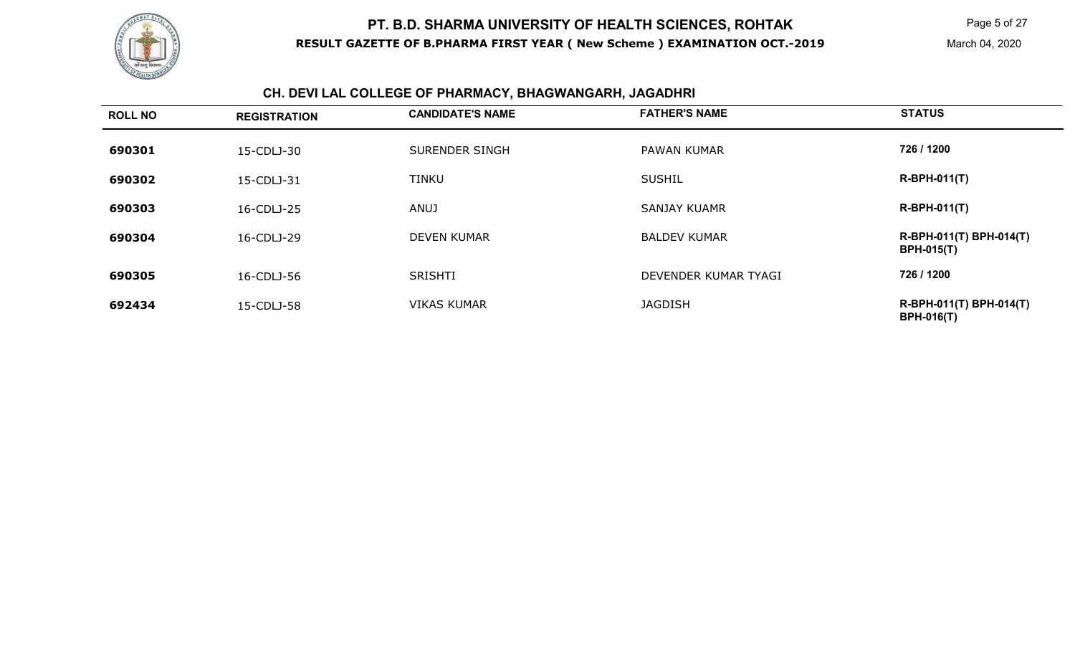

Page 5 of 27

#### **CH. DEVI LAL COLLEGE OF PHARMACY, BHAGWANGARH, JAGADHRI**

| <b>ROLL NO</b> | <b>REGISTRATION</b> | <b>CANDIDATE'S NAME</b> | <b>FATHER'S NAME</b> | <b>STATUS</b>                                |
|----------------|---------------------|-------------------------|----------------------|----------------------------------------------|
| 690301         | 15-CDLJ-30          | SURENDER SINGH          | <b>PAWAN KUMAR</b>   | 726 / 1200                                   |
| 690302         | 15-CDLJ-31          | <b>TINKU</b>            | <b>SUSHIL</b>        | <b>R-BPH-011(T)</b>                          |
| 690303         | 16-CDLJ-25          | <b>ANUJ</b>             | <b>SANJAY KUAMR</b>  | <b>R-BPH-011(T)</b>                          |
| 690304         | 16-CDLJ-29          | <b>DEVEN KUMAR</b>      | <b>BALDEV KUMAR</b>  | R-BPH-011(T) BPH-014(T)<br><b>BPH-015(T)</b> |
| 690305         | 16-CDLJ-56          | <b>SRISHTI</b>          | DEVENDER KUMAR TYAGI | 726 / 1200                                   |
| 692434         | 15-CDLJ-58          | <b>VIKAS KUMAR</b>      | <b>JAGDISH</b>       | R-BPH-011(T) BPH-014(T)<br><b>BPH-016(T)</b> |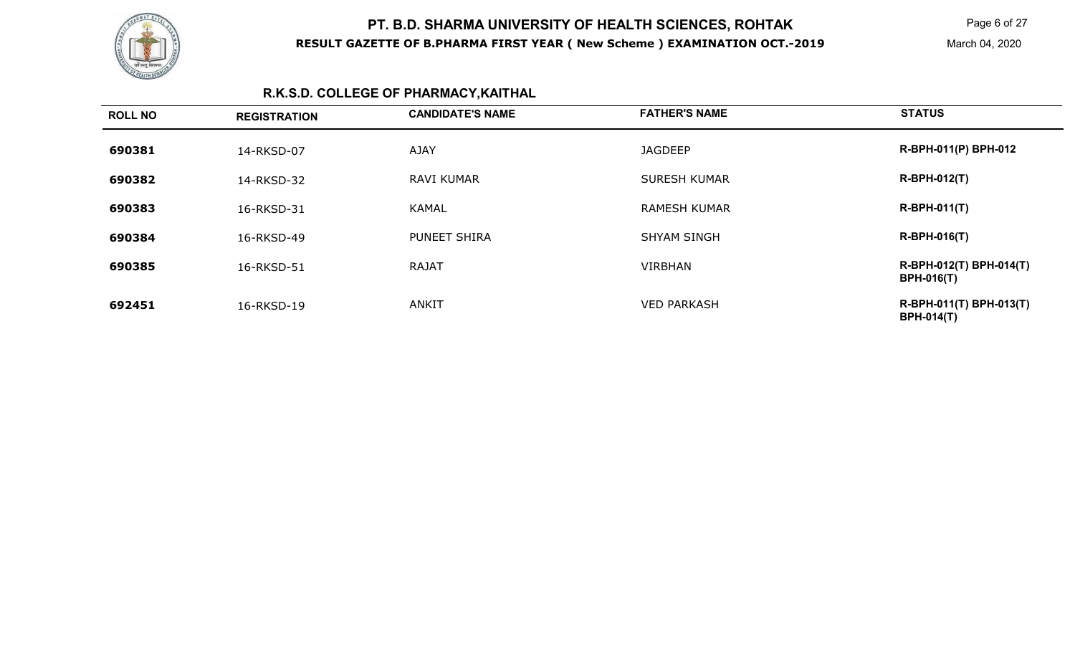

Page 6 of 27

## **R.K.S.D. COLLEGE OF PHARMACY,KAITHAL**

| <b>ROLL NO</b> | <b>REGISTRATION</b> | <b>CANDIDATE'S NAME</b> | <b>FATHER'S NAME</b> | <b>STATUS</b>                                |
|----------------|---------------------|-------------------------|----------------------|----------------------------------------------|
| 690381         | 14-RKSD-07          | <b>AJAY</b>             | <b>JAGDEEP</b>       | R-BPH-011(P) BPH-012                         |
| 690382         | 14-RKSD-32          | <b>RAVI KUMAR</b>       | <b>SURESH KUMAR</b>  | <b>R-BPH-012(T)</b>                          |
| 690383         | 16-RKSD-31          | <b>KAMAL</b>            | <b>RAMESH KUMAR</b>  | $R-BPH-011(T)$                               |
| 690384         | 16-RKSD-49          | PUNEET SHIRA            | <b>SHYAM SINGH</b>   | <b>R-BPH-016(T)</b>                          |
| 690385         | 16-RKSD-51          | <b>RAJAT</b>            | <b>VIRBHAN</b>       | R-BPH-012(T) BPH-014(T)<br><b>BPH-016(T)</b> |
| 692451         | 16-RKSD-19          | <b>ANKIT</b>            | <b>VED PARKASH</b>   | R-BPH-011(T) BPH-013(T)<br><b>BPH-014(T)</b> |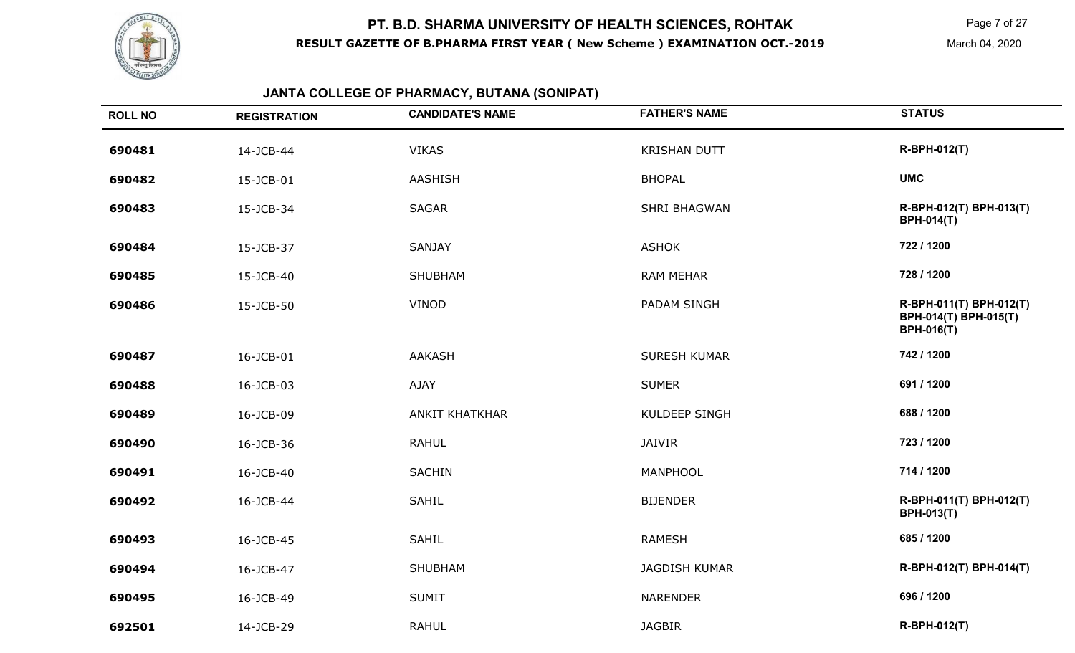

Page 7 of 27

March 04, 2020

#### **JANTA COLLEGE OF PHARMACY, BUTANA (SONIPAT)**

| <b>ROLL NO</b> | <b>REGISTRATION</b> | <b>CANDIDATE'S NAME</b> | <b>FATHER'S NAME</b> | <b>STATUS</b>                                                         |
|----------------|---------------------|-------------------------|----------------------|-----------------------------------------------------------------------|
| 690481         | 14-JCB-44           | <b>VIKAS</b>            | <b>KRISHAN DUTT</b>  | R-BPH-012(T)                                                          |
| 690482         | 15-JCB-01           | AASHISH                 | <b>BHOPAL</b>        | <b>UMC</b>                                                            |
| 690483         | 15-JCB-34           | <b>SAGAR</b>            | <b>SHRI BHAGWAN</b>  | R-BPH-012(T) BPH-013(T)<br><b>BPH-014(T)</b>                          |
| 690484         | 15-JCB-37           | <b>SANJAY</b>           | <b>ASHOK</b>         | 722 / 1200                                                            |
| 690485         | 15-JCB-40           | SHUBHAM                 | <b>RAM MEHAR</b>     | 728 / 1200                                                            |
| 690486         | 15-JCB-50           | VINOD                   | PADAM SINGH          | R-BPH-011(T) BPH-012(T)<br>BPH-014(T) BPH-015(T)<br><b>BPH-016(T)</b> |
| 690487         | 16-JCB-01           | <b>AAKASH</b>           | <b>SURESH KUMAR</b>  | 742 / 1200                                                            |
| 690488         | 16-JCB-03           | AJAY                    | <b>SUMER</b>         | 691 / 1200                                                            |
| 690489         | 16-JCB-09           | <b>ANKIT KHATKHAR</b>   | <b>KULDEEP SINGH</b> | 688 / 1200                                                            |
| 690490         | 16-JCB-36           | <b>RAHUL</b>            | JAIVIR               | 723 / 1200                                                            |
| 690491         | 16-JCB-40           | <b>SACHIN</b>           | MANPHOOL             | 714 / 1200                                                            |
| 690492         | 16-JCB-44           | <b>SAHIL</b>            | <b>BIJENDER</b>      | R-BPH-011(T) BPH-012(T)<br><b>BPH-013(T)</b>                          |
| 690493         | 16-JCB-45           | SAHIL                   | <b>RAMESH</b>        | 685 / 1200                                                            |
| 690494         | 16-JCB-47           | SHUBHAM                 | <b>JAGDISH KUMAR</b> | R-BPH-012(T) BPH-014(T)                                               |
| 690495         | 16-JCB-49           | <b>SUMIT</b>            | <b>NARENDER</b>      | 696 / 1200                                                            |
| 692501         | 14-JCB-29           | <b>RAHUL</b>            | <b>JAGBIR</b>        | R-BPH-012(T)                                                          |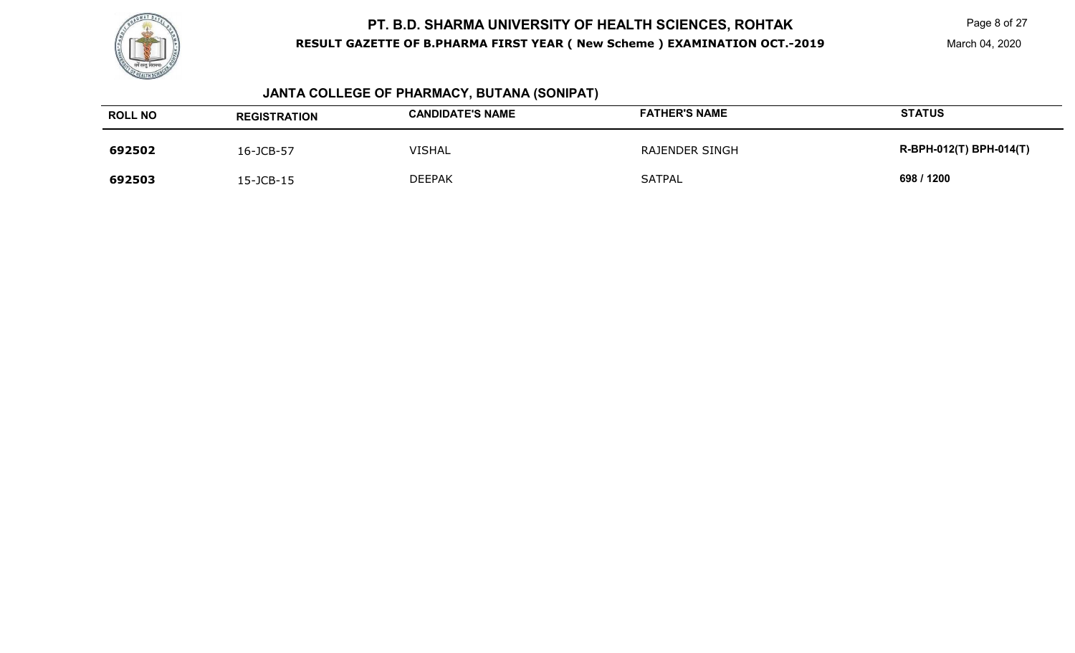

Page 8 of 27

March 04, 2020

#### **JANTA COLLEGE OF PHARMACY, BUTANA (SONIPAT)**

| <b>ROLL NO</b> | <b>REGISTRATION</b> | <b>CANDIDATE'S NAME</b> | <b>FATHER'S NAME</b>  | <b>STATUS</b>           |
|----------------|---------------------|-------------------------|-----------------------|-------------------------|
| 692502         | 16-JCB-57           | <b>VISHAL</b>           | <b>RAJENDER SINGH</b> | R-BPH-012(T) BPH-014(T) |
| 692503         | 15-JCB-15           | <b>DEEPAK</b>           | SATPAL                | 698 / 1200              |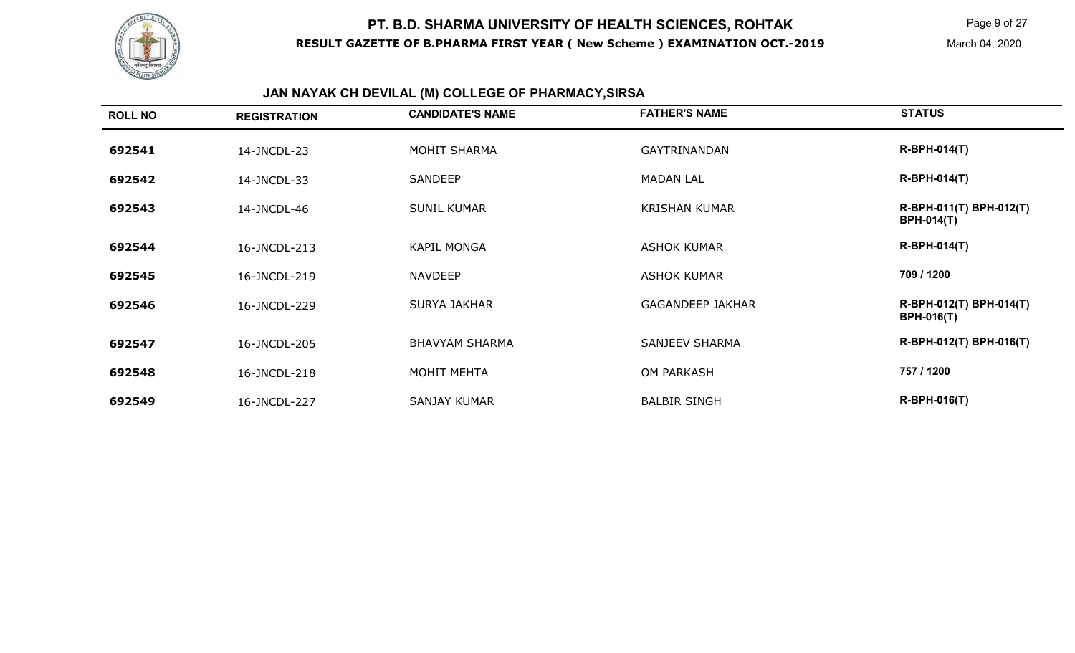

# **JAN NAYAK CH DEVILAL (M) COLLEGE OF PHARMACY,SIRSA**

| <b>ROLL NO</b> | <b>REGISTRATION</b> | <b>CANDIDATE'S NAME</b> | <b>FATHER'S NAME</b>    | <b>STATUS</b>                                |
|----------------|---------------------|-------------------------|-------------------------|----------------------------------------------|
| 692541         | 14-JNCDL-23         | MOHIT SHARMA            | GAYTRINANDAN            | <b>R-BPH-014(T)</b>                          |
| 692542         | 14-JNCDL-33         | <b>SANDEEP</b>          | <b>MADAN LAL</b>        | <b>R-BPH-014(T)</b>                          |
| 692543         | 14-JNCDL-46         | <b>SUNIL KUMAR</b>      | <b>KRISHAN KUMAR</b>    | R-BPH-011(T) BPH-012(T)<br><b>BPH-014(T)</b> |
| 692544         | 16-JNCDL-213        | <b>KAPIL MONGA</b>      | <b>ASHOK KUMAR</b>      | <b>R-BPH-014(T)</b>                          |
| 692545         | 16-JNCDL-219        | <b>NAVDEEP</b>          | <b>ASHOK KUMAR</b>      | 709 / 1200                                   |
| 692546         | 16-JNCDL-229        | SURYA JAKHAR            | <b>GAGANDEEP JAKHAR</b> | R-BPH-012(T) BPH-014(T)<br><b>BPH-016(T)</b> |
| 692547         | 16-JNCDL-205        | <b>BHAVYAM SHARMA</b>   | SANJEEV SHARMA          | R-BPH-012(T) BPH-016(T)                      |
| 692548         | 16-JNCDL-218        | MOHIT MEHTA             | <b>OM PARKASH</b>       | 757 / 1200                                   |
| 692549         | 16-JNCDL-227        | <b>SANJAY KUMAR</b>     | <b>BALBIR SINGH</b>     | <b>R-BPH-016(T)</b>                          |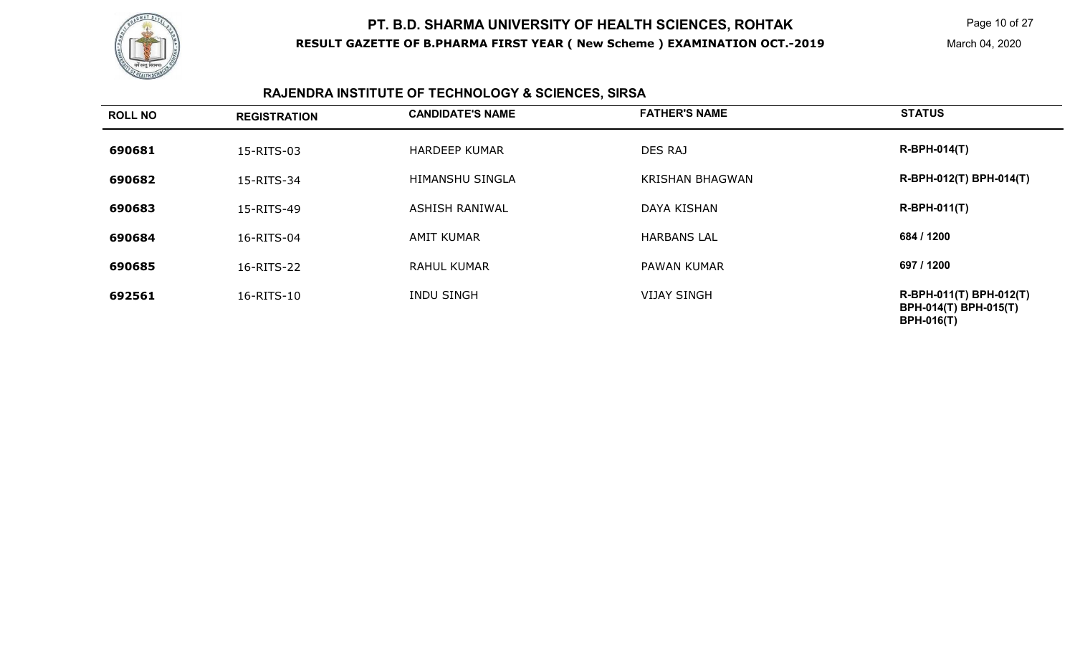

Page 10 of 27

## **RAJENDRA INSTITUTE OF TECHNOLOGY & SCIENCES, SIRSA**

| <b>ROLL NO</b> | <b>REGISTRATION</b> | <b>CANDIDATE'S NAME</b> | <b>FATHER'S NAME</b>   | <b>STATUS</b>                                                         |
|----------------|---------------------|-------------------------|------------------------|-----------------------------------------------------------------------|
| 690681         | 15-RITS-03          | <b>HARDEEP KUMAR</b>    | DES RAJ                | <b>R-BPH-014(T)</b>                                                   |
| 690682         | 15-RITS-34          | <b>HIMANSHU SINGLA</b>  | <b>KRISHAN BHAGWAN</b> | R-BPH-012(T) BPH-014(T)                                               |
| 690683         | 15-RITS-49          | <b>ASHISH RANIWAL</b>   | DAYA KISHAN            | $R-BPH-011(T)$                                                        |
| 690684         | 16-RITS-04          | <b>AMIT KUMAR</b>       | <b>HARBANS LAL</b>     | 684 / 1200                                                            |
| 690685         | 16-RITS-22          | <b>RAHUL KUMAR</b>      | <b>PAWAN KUMAR</b>     | 697 / 1200                                                            |
| 692561         | 16-RITS-10          | <b>INDU SINGH</b>       | <b>VIJAY SINGH</b>     | R-BPH-011(T) BPH-012(T)<br>BPH-014(T) BPH-015(T)<br><b>BPH-016(T)</b> |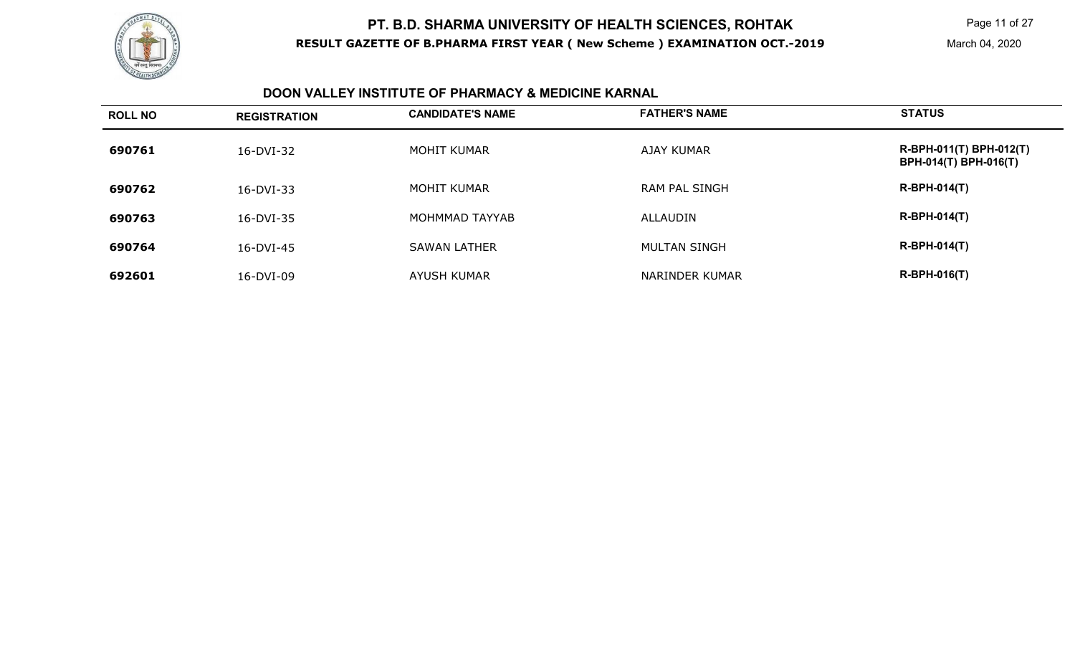

#### **DOON VALLEY INSTITUTE OF PHARMACY & MEDICINE KARNAL**

| <b>ROLL NO</b> | <b>REGISTRATION</b> | <b>CANDIDATE'S NAME</b> | <b>FATHER'S NAME</b> | <b>STATUS</b>                                    |
|----------------|---------------------|-------------------------|----------------------|--------------------------------------------------|
| 690761         | 16-DVI-32           | MOHIT KUMAR             | AJAY KUMAR           | R-BPH-011(T) BPH-012(T)<br>BPH-014(T) BPH-016(T) |
| 690762         | 16-DVI-33           | MOHIT KUMAR             | RAM PAL SINGH        | <b>R-BPH-014(T)</b>                              |
| 690763         | 16-DVI-35           | MOHMMAD TAYYAB          | ALLAUDIN             | <b>R-BPH-014(T)</b>                              |
| 690764         | 16-DVI-45           | <b>SAWAN LATHER</b>     | MULTAN SINGH         | <b>R-BPH-014(T)</b>                              |
| 692601         | 16-DVI-09           | <b>AYUSH KUMAR</b>      | NARINDER KUMAR       | <b>R-BPH-016(T)</b>                              |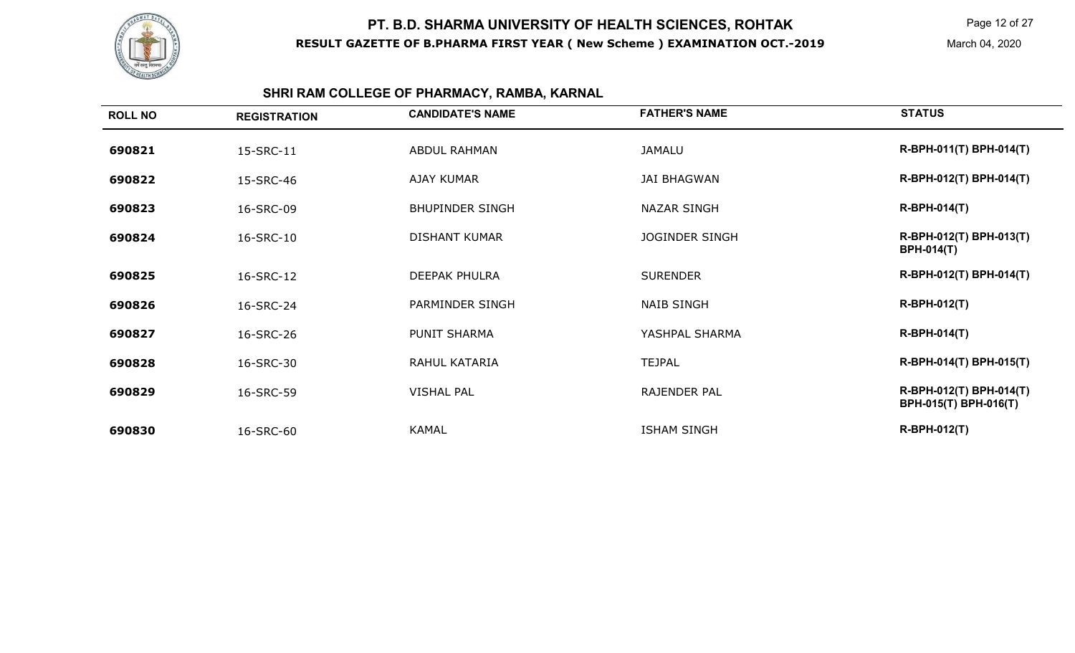

## **SHRI RAM COLLEGE OF PHARMACY, RAMBA, KARNAL**

| <b>ROLL NO</b> | <b>REGISTRATION</b> | <b>CANDIDATE'S NAME</b> | <b>FATHER'S NAME</b>  | <b>STATUS</b>                                    |
|----------------|---------------------|-------------------------|-----------------------|--------------------------------------------------|
| 690821         | 15-SRC-11           | <b>ABDUL RAHMAN</b>     | <b>JAMALU</b>         | R-BPH-011(T) BPH-014(T)                          |
| 690822         | 15-SRC-46           | <b>AJAY KUMAR</b>       | <b>JAI BHAGWAN</b>    | R-BPH-012(T) BPH-014(T)                          |
| 690823         | 16-SRC-09           | <b>BHUPINDER SINGH</b>  | <b>NAZAR SINGH</b>    | <b>R-BPH-014(T)</b>                              |
| 690824         | 16-SRC-10           | <b>DISHANT KUMAR</b>    | <b>JOGINDER SINGH</b> | R-BPH-012(T) BPH-013(T)<br><b>BPH-014(T)</b>     |
| 690825         | 16-SRC-12           | <b>DEEPAK PHULRA</b>    | <b>SURENDER</b>       | R-BPH-012(T) BPH-014(T)                          |
| 690826         | 16-SRC-24           | PARMINDER SINGH         | <b>NAIB SINGH</b>     | <b>R-BPH-012(T)</b>                              |
| 690827         | 16-SRC-26           | PUNIT SHARMA            | YASHPAL SHARMA        | $R-BPH-014(T)$                                   |
| 690828         | 16-SRC-30           | RAHUL KATARIA           | <b>TEJPAL</b>         | R-BPH-014(T) BPH-015(T)                          |
| 690829         | 16-SRC-59           | <b>VISHAL PAL</b>       | RAJENDER PAL          | R-BPH-012(T) BPH-014(T)<br>BPH-015(T) BPH-016(T) |
| 690830         | 16-SRC-60           | <b>KAMAL</b>            | <b>ISHAM SINGH</b>    | <b>R-BPH-012(T)</b>                              |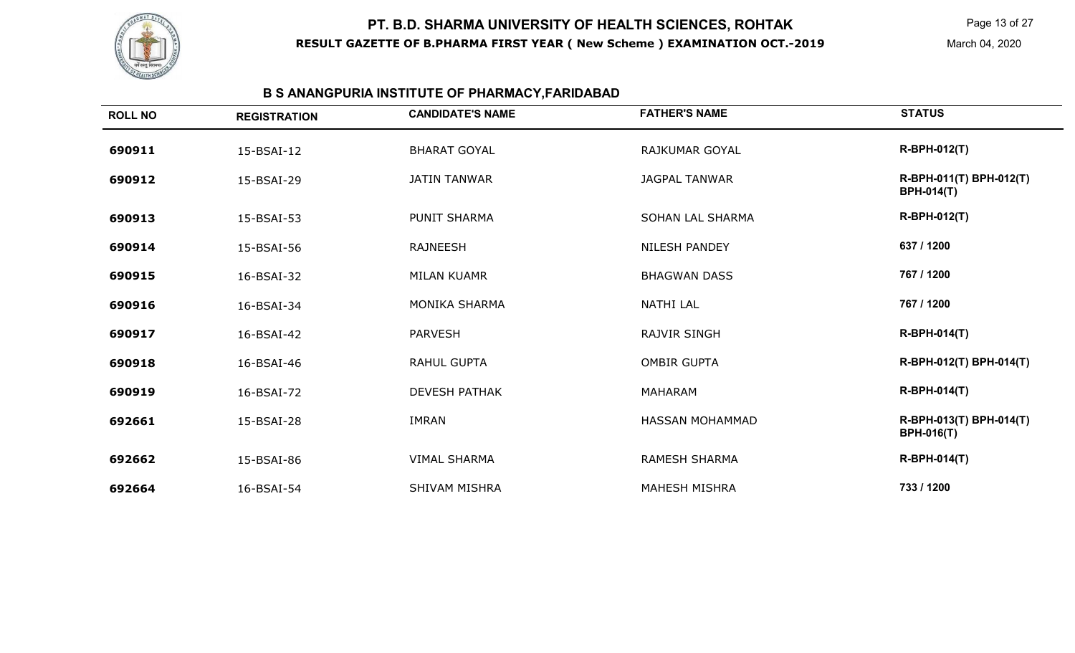

## **B S ANANGPURIA INSTITUTE OF PHARMACY,FARIDABAD**

| <b>ROLL NO</b> | <b>REGISTRATION</b> | <b>CANDIDATE'S NAME</b> | <b>FATHER'S NAME</b>    | <b>STATUS</b>                                |
|----------------|---------------------|-------------------------|-------------------------|----------------------------------------------|
| 690911         | 15-BSAI-12          | <b>BHARAT GOYAL</b>     | <b>RAJKUMAR GOYAL</b>   | <b>R-BPH-012(T)</b>                          |
| 690912         | 15-BSAI-29          | <b>JATIN TANWAR</b>     | <b>JAGPAL TANWAR</b>    | R-BPH-011(T) BPH-012(T)<br><b>BPH-014(T)</b> |
| 690913         | 15-BSAI-53          | <b>PUNIT SHARMA</b>     | <b>SOHAN LAL SHARMA</b> | <b>R-BPH-012(T)</b>                          |
| 690914         | 15-BSAI-56          | <b>RAJNEESH</b>         | <b>NILESH PANDEY</b>    | 637 / 1200                                   |
| 690915         | 16-BSAI-32          | <b>MILAN KUAMR</b>      | <b>BHAGWAN DASS</b>     | 767 / 1200                                   |
| 690916         | 16-BSAI-34          | <b>MONIKA SHARMA</b>    | <b>NATHI LAL</b>        | 767 / 1200                                   |
| 690917         | 16-BSAI-42          | <b>PARVESH</b>          | <b>RAJVIR SINGH</b>     | <b>R-BPH-014(T)</b>                          |
| 690918         | 16-BSAI-46          | RAHUL GUPTA             | <b>OMBIR GUPTA</b>      | R-BPH-012(T) BPH-014(T)                      |
| 690919         | 16-BSAI-72          | <b>DEVESH PATHAK</b>    | <b>MAHARAM</b>          | <b>R-BPH-014(T)</b>                          |
| 692661         | 15-BSAI-28          | <b>IMRAN</b>            | <b>HASSAN MOHAMMAD</b>  | R-BPH-013(T) BPH-014(T)<br><b>BPH-016(T)</b> |
| 692662         | 15-BSAI-86          | <b>VIMAL SHARMA</b>     | <b>RAMESH SHARMA</b>    | <b>R-BPH-014(T)</b>                          |
| 692664         | 16-BSAI-54          | SHIVAM MISHRA           | <b>MAHESH MISHRA</b>    | 733 / 1200                                   |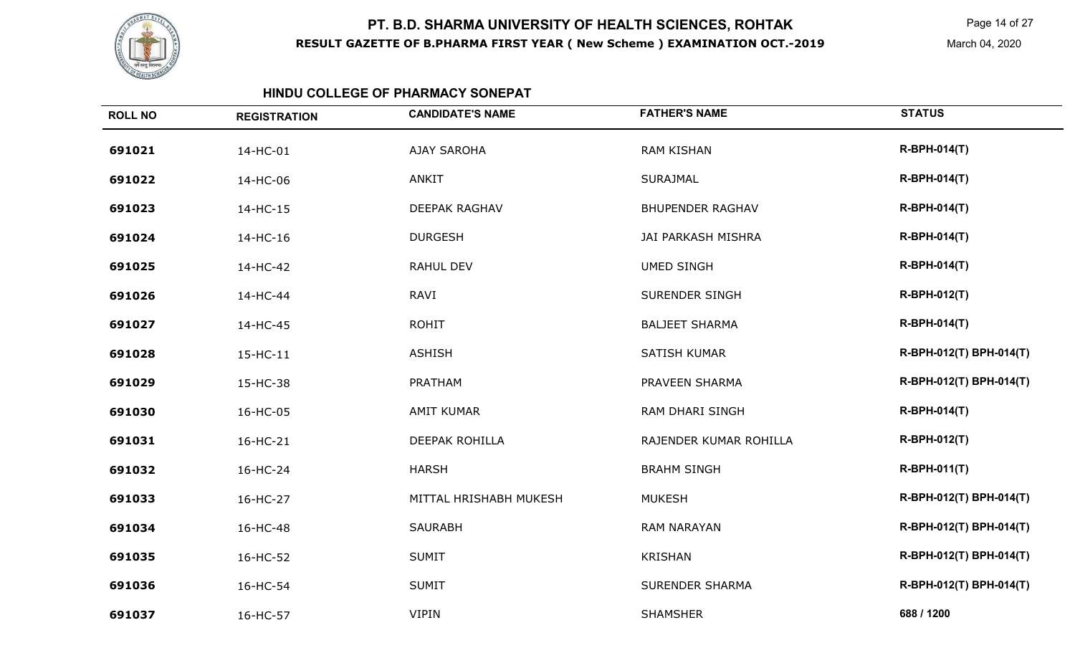

Page 14 of 27

March 04, 2020

#### **HINDU COLLEGE OF PHARMACY SONEPAT**

| <b>ROLL NO</b> | <b>REGISTRATION</b> | <b>CANDIDATE'S NAME</b> | <b>FATHER'S NAME</b>    | <b>STATUS</b>           |
|----------------|---------------------|-------------------------|-------------------------|-------------------------|
| 691021         | 14-HC-01            | <b>AJAY SAROHA</b>      | <b>RAM KISHAN</b>       | <b>R-BPH-014(T)</b>     |
| 691022         | 14-HC-06            | <b>ANKIT</b>            | <b>SURAJMAL</b>         | <b>R-BPH-014(T)</b>     |
| 691023         | 14-HC-15            | DEEPAK RAGHAV           | <b>BHUPENDER RAGHAV</b> | <b>R-BPH-014(T)</b>     |
| 691024         | 14-HC-16            | <b>DURGESH</b>          | JAI PARKASH MISHRA      | <b>R-BPH-014(T)</b>     |
| 691025         | 14-HC-42            | <b>RAHUL DEV</b>        | <b>UMED SINGH</b>       | <b>R-BPH-014(T)</b>     |
| 691026         | 14-HC-44            | <b>RAVI</b>             | <b>SURENDER SINGH</b>   | <b>R-BPH-012(T)</b>     |
| 691027         | 14-HC-45            | <b>ROHIT</b>            | <b>BALJEET SHARMA</b>   | <b>R-BPH-014(T)</b>     |
| 691028         | 15-HC-11            | <b>ASHISH</b>           | <b>SATISH KUMAR</b>     | R-BPH-012(T) BPH-014(T) |
| 691029         | 15-HC-38            | PRATHAM                 | PRAVEEN SHARMA          | R-BPH-012(T) BPH-014(T) |
| 691030         | 16-HC-05            | <b>AMIT KUMAR</b>       | <b>RAM DHARI SINGH</b>  | <b>R-BPH-014(T)</b>     |
| 691031         | 16-HC-21            | DEEPAK ROHILLA          | RAJENDER KUMAR ROHILLA  | <b>R-BPH-012(T)</b>     |
| 691032         | 16-HC-24            | <b>HARSH</b>            | <b>BRAHM SINGH</b>      | <b>R-BPH-011(T)</b>     |
| 691033         | 16-HC-27            | MITTAL HRISHABH MUKESH  | <b>MUKESH</b>           | R-BPH-012(T) BPH-014(T) |
| 691034         | 16-HC-48            | <b>SAURABH</b>          | <b>RAM NARAYAN</b>      | R-BPH-012(T) BPH-014(T) |
| 691035         | 16-HC-52            | <b>SUMIT</b>            | <b>KRISHAN</b>          | R-BPH-012(T) BPH-014(T) |
| 691036         | 16-HC-54            | <b>SUMIT</b>            | <b>SURENDER SHARMA</b>  | R-BPH-012(T) BPH-014(T) |
| 691037         | 16-HC-57            | <b>VIPIN</b>            | <b>SHAMSHER</b>         | 688 / 1200              |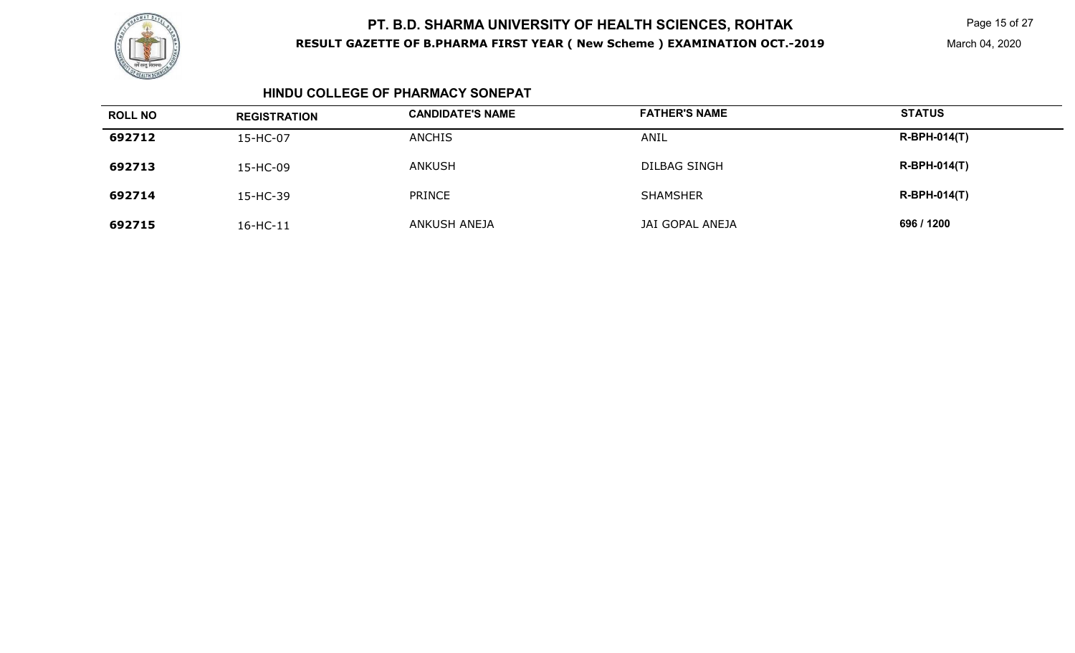

Page 15 of 27

March 04, 2020

#### **HINDU COLLEGE OF PHARMACY SONEPAT**

| <b>ROLL NO</b> | <b>REGISTRATION</b> | <b>CANDIDATE'S NAME</b> | <b>FATHER'S NAME</b> | <b>STATUS</b>  |
|----------------|---------------------|-------------------------|----------------------|----------------|
| 692712         | 15-HC-07            | <b>ANCHIS</b>           | ANIL                 | $R-BPH-014(T)$ |
| 692713         | 15-HC-09            | ANKUSH                  | <b>DILBAG SINGH</b>  | $R-BPH-014(T)$ |
| 692714         | 15-HC-39            | PRINCE                  | <b>SHAMSHER</b>      | $R-BPH-014(T)$ |
| 692715         | 16-HC-11            | <b>ANKUSH ANEJA</b>     | JAI GOPAL ANEJA      | 696 / 1200     |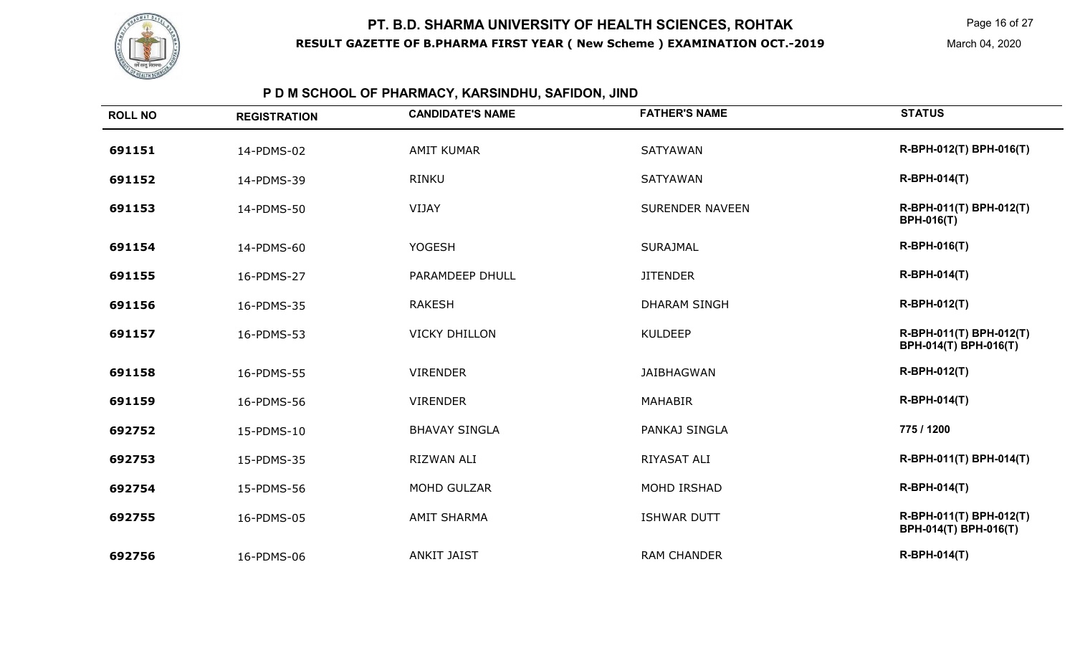

Page 16 of 27

March 04, 2020

## **P D M SCHOOL OF PHARMACY, KARSINDHU, SAFIDON, JIND**

| <b>ROLL NO</b> | <b>REGISTRATION</b> | <b>CANDIDATE'S NAME</b> | <b>FATHER'S NAME</b>   | <b>STATUS</b>                                    |
|----------------|---------------------|-------------------------|------------------------|--------------------------------------------------|
| 691151         | 14-PDMS-02          | <b>AMIT KUMAR</b>       | <b>SATYAWAN</b>        | R-BPH-012(T) BPH-016(T)                          |
| 691152         | 14-PDMS-39          | RINKU                   | <b>SATYAWAN</b>        | <b>R-BPH-014(T)</b>                              |
| 691153         | 14-PDMS-50          | VIJAY                   | <b>SURENDER NAVEEN</b> | R-BPH-011(T) BPH-012(T)<br><b>BPH-016(T)</b>     |
| 691154         | 14-PDMS-60          | <b>YOGESH</b>           | <b>SURAJMAL</b>        | R-BPH-016(T)                                     |
| 691155         | 16-PDMS-27          | PARAMDEEP DHULL         | <b>JITENDER</b>        | <b>R-BPH-014(T)</b>                              |
| 691156         | 16-PDMS-35          | <b>RAKESH</b>           | <b>DHARAM SINGH</b>    | R-BPH-012(T)                                     |
| 691157         | 16-PDMS-53          | <b>VICKY DHILLON</b>    | <b>KULDEEP</b>         | R-BPH-011(T) BPH-012(T)<br>BPH-014(T) BPH-016(T) |
| 691158         | 16-PDMS-55          | <b>VIRENDER</b>         | <b>JAIBHAGWAN</b>      | R-BPH-012(T)                                     |
| 691159         | 16-PDMS-56          | <b>VIRENDER</b>         | <b>MAHABIR</b>         | <b>R-BPH-014(T)</b>                              |
| 692752         | 15-PDMS-10          | <b>BHAVAY SINGLA</b>    | PANKAJ SINGLA          | 775 / 1200                                       |
| 692753         | 15-PDMS-35          | RIZWAN ALI              | RIYASAT ALI            | R-BPH-011(T) BPH-014(T)                          |
| 692754         | 15-PDMS-56          | MOHD GULZAR             | MOHD IRSHAD            | <b>R-BPH-014(T)</b>                              |
| 692755         | 16-PDMS-05          | <b>AMIT SHARMA</b>      | <b>ISHWAR DUTT</b>     | R-BPH-011(T) BPH-012(T)<br>BPH-014(T) BPH-016(T) |
| 692756         | 16-PDMS-06          | <b>ANKIT JAIST</b>      | <b>RAM CHANDER</b>     | <b>R-BPH-014(T)</b>                              |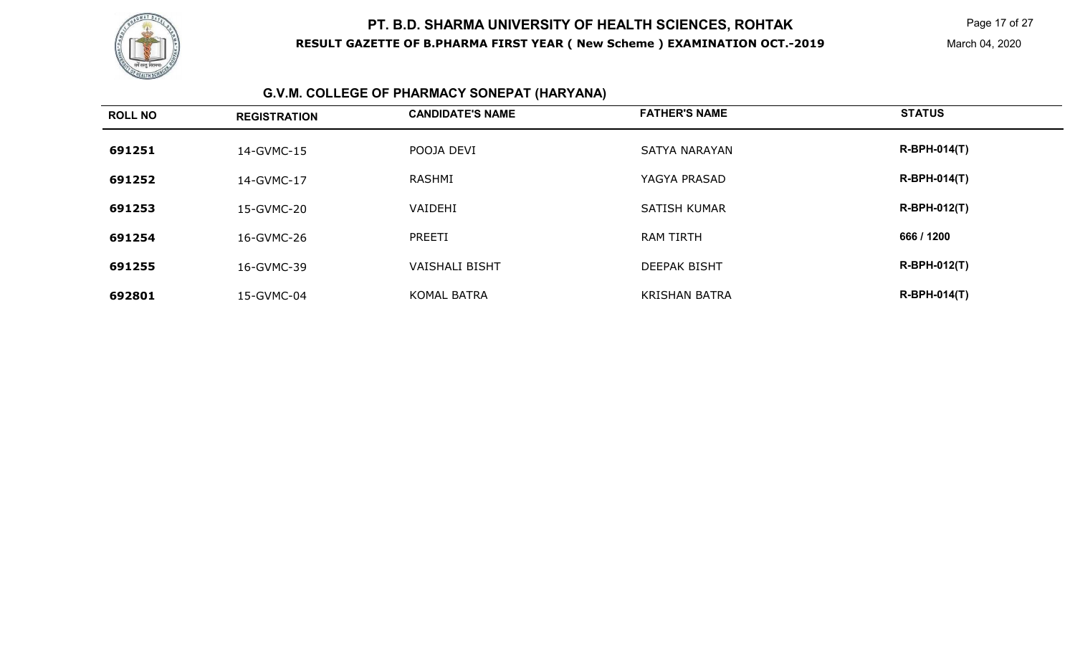

Page 17 of 27

## **G.V.M. COLLEGE OF PHARMACY SONEPAT (HARYANA)**

| <b>ROLL NO</b> | <b>REGISTRATION</b> | <b>CANDIDATE'S NAME</b> | <b>FATHER'S NAME</b> | <b>STATUS</b>       |
|----------------|---------------------|-------------------------|----------------------|---------------------|
| 691251         | 14-GVMC-15          | POOJA DEVI              | <b>SATYA NARAYAN</b> | <b>R-BPH-014(T)</b> |
| 691252         | 14-GVMC-17          | RASHMI                  | YAGYA PRASAD         | <b>R-BPH-014(T)</b> |
| 691253         | 15-GVMC-20          | VAIDEHI                 | <b>SATISH KUMAR</b>  | <b>R-BPH-012(T)</b> |
| 691254         | 16-GVMC-26          | PREETI                  | <b>RAM TIRTH</b>     | 666 / 1200          |
| 691255         | 16-GVMC-39          | <b>VAISHALI BISHT</b>   | <b>DEEPAK BISHT</b>  | <b>R-BPH-012(T)</b> |
| 692801         | 15-GVMC-04          | <b>KOMAL BATRA</b>      | <b>KRISHAN BATRA</b> | <b>R-BPH-014(T)</b> |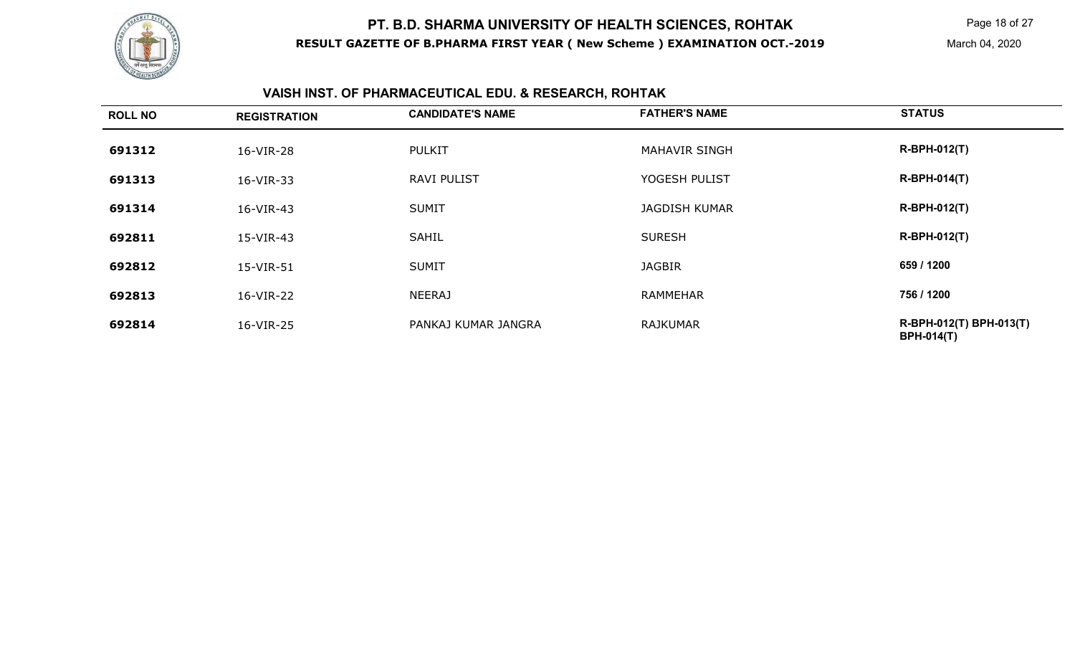

Page 18 of 27

## **VAISH INST. OF PHARMACEUTICAL EDU. & RESEARCH, ROHTAK**

| <b>ROLL NO</b> | <b>REGISTRATION</b> | <b>CANDIDATE'S NAME</b> | <b>FATHER'S NAME</b> | <b>STATUS</b>                                |
|----------------|---------------------|-------------------------|----------------------|----------------------------------------------|
| 691312         | 16-VIR-28           | <b>PULKIT</b>           | <b>MAHAVIR SINGH</b> | <b>R-BPH-012(T)</b>                          |
| 691313         | 16-VIR-33           | <b>RAVI PULIST</b>      | YOGESH PULIST        | <b>R-BPH-014(T)</b>                          |
| 691314         | 16-VIR-43           | <b>SUMIT</b>            | <b>JAGDISH KUMAR</b> | <b>R-BPH-012(T)</b>                          |
| 692811         | 15-VIR-43           | SAHIL                   | <b>SURESH</b>        | <b>R-BPH-012(T)</b>                          |
| 692812         | 15-VIR-51           | <b>SUMIT</b>            | <b>JAGBIR</b>        | 659 / 1200                                   |
| 692813         | 16-VIR-22           | <b>NEERAJ</b>           | RAMMEHAR             | 756 / 1200                                   |
| 692814         | 16-VIR-25           | PANKAJ KUMAR JANGRA     | RAJKUMAR             | R-BPH-012(T) BPH-013(T)<br><b>BPH-014(T)</b> |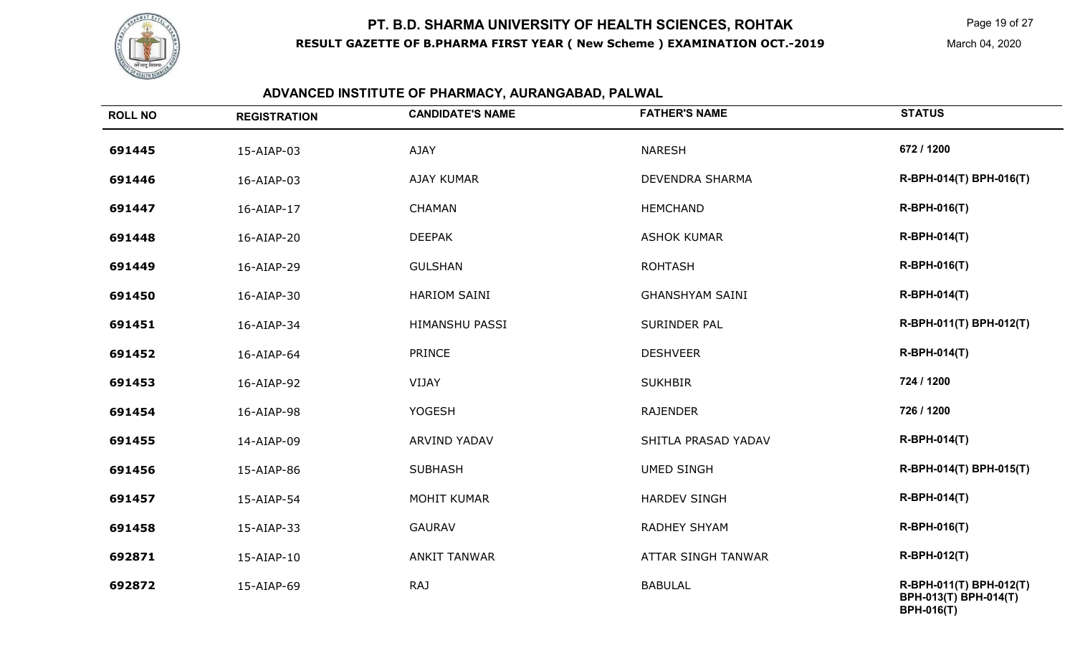

**BPH-016(T)** 

#### **ADVANCED INSTITUTE OF PHARMACY, AURANGABAD, PALWAL**

| <b>ROLL NO</b> | <b>REGISTRATION</b> | <b>CANDIDATE'S NAME</b> | <b>FATHER'S NAME</b>      | <b>STATUS</b>                                    |
|----------------|---------------------|-------------------------|---------------------------|--------------------------------------------------|
| 691445         | 15-AIAP-03          | <b>AJAY</b>             | <b>NARESH</b>             | 672 / 1200                                       |
| 691446         | 16-AIAP-03          | <b>AJAY KUMAR</b>       | DEVENDRA SHARMA           | R-BPH-014(T) BPH-016(T)                          |
| 691447         | 16-AIAP-17          | <b>CHAMAN</b>           | <b>HEMCHAND</b>           | R-BPH-016(T)                                     |
| 691448         | 16-AIAP-20          | <b>DEEPAK</b>           | <b>ASHOK KUMAR</b>        | <b>R-BPH-014(T)</b>                              |
| 691449         | 16-AIAP-29          | <b>GULSHAN</b>          | <b>ROHTASH</b>            | <b>R-BPH-016(T)</b>                              |
| 691450         | 16-AIAP-30          | <b>HARIOM SAINI</b>     | <b>GHANSHYAM SAINI</b>    | <b>R-BPH-014(T)</b>                              |
| 691451         | 16-AIAP-34          | HIMANSHU PASSI          | SURINDER PAL              | R-BPH-011(T) BPH-012(T)                          |
| 691452         | 16-AIAP-64          | <b>PRINCE</b>           | <b>DESHVEER</b>           | <b>R-BPH-014(T)</b>                              |
| 691453         | 16-AIAP-92          | VIJAY                   | <b>SUKHBIR</b>            | 724 / 1200                                       |
| 691454         | 16-AIAP-98          | <b>YOGESH</b>           | <b>RAJENDER</b>           | 726 / 1200                                       |
| 691455         | 14-AIAP-09          | ARVIND YADAV            | SHITLA PRASAD YADAV       | <b>R-BPH-014(T)</b>                              |
| 691456         | 15-AIAP-86          | <b>SUBHASH</b>          | <b>UMED SINGH</b>         | R-BPH-014(T) BPH-015(T)                          |
| 691457         | 15-AIAP-54          | <b>MOHIT KUMAR</b>      | <b>HARDEV SINGH</b>       | <b>R-BPH-014(T)</b>                              |
| 691458         | 15-AIAP-33          | <b>GAURAV</b>           | RADHEY SHYAM              | R-BPH-016(T)                                     |
| 692871         | 15-AIAP-10          | <b>ANKIT TANWAR</b>     | <b>ATTAR SINGH TANWAR</b> | <b>R-BPH-012(T)</b>                              |
| 692872         | 15-AIAP-69          | RAJ                     | <b>BABULAL</b>            | R-BPH-011(T) BPH-012(T)<br>BPH-013(T) BPH-014(T) |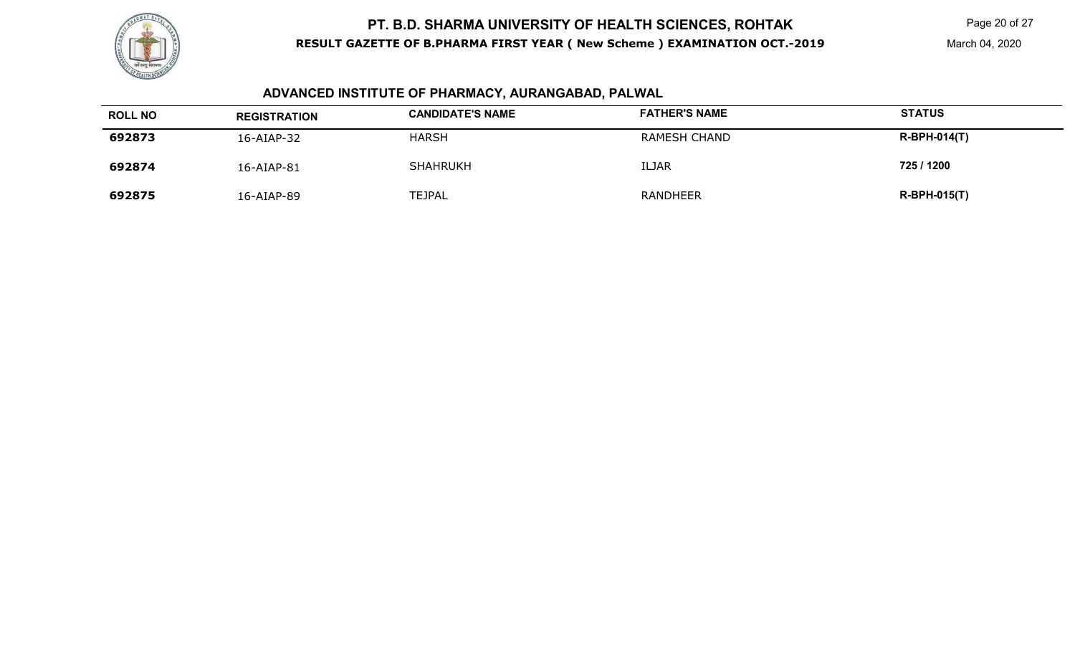

## **ADVANCED INSTITUTE OF PHARMACY, AURANGABAD, PALWAL**

| <b>ROLL NO</b> | <b>REGISTRATION</b> | <b>CANDIDATE'S NAME</b> | <b>FATHER'S NAME</b> | <b>STATUS</b>  |
|----------------|---------------------|-------------------------|----------------------|----------------|
| 692873         | 16-AIAP-32          | <b>HARSH</b>            | RAMESH CHAND         | $R-BPH-014(T)$ |
| 692874         | 16-AIAP-81          | <b>SHAHRUKH</b>         | <b>ILJAR</b>         | 725 / 1200     |
| 692875         | 16-AIAP-89          | TEJPAL                  | <b>RANDHEER</b>      | $R-BPH-015(T)$ |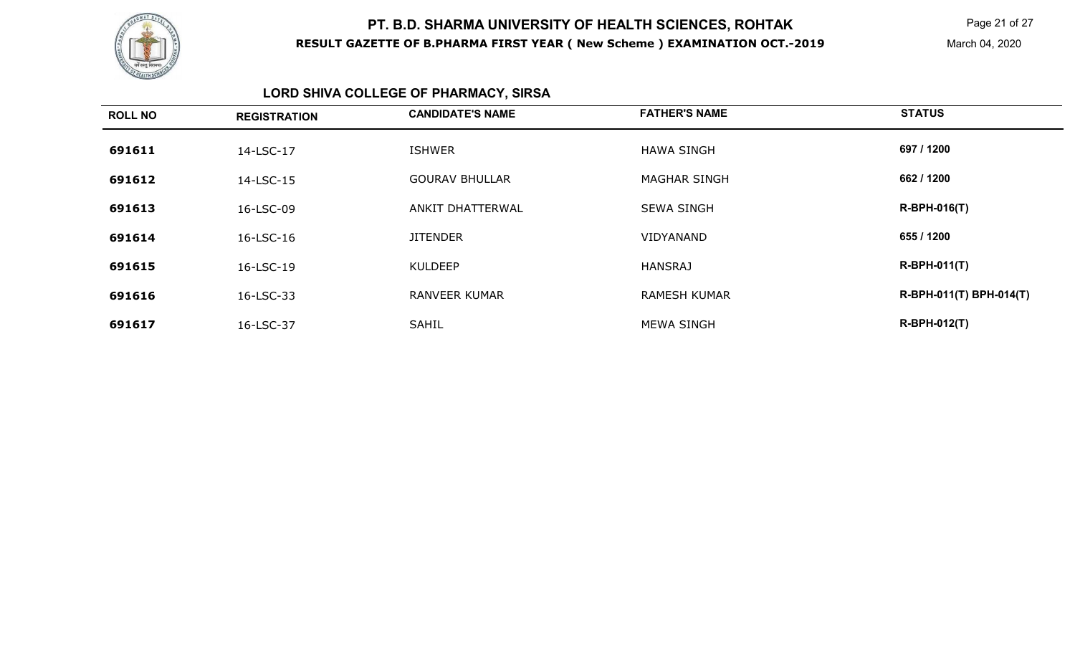

Page 21 of 27

March 04, 2020

## **LORD SHIVA COLLEGE OF PHARMACY, SIRSA**

| <b>ROLL NO</b> | <b>REGISTRATION</b> | <b>CANDIDATE'S NAME</b> | <b>FATHER'S NAME</b> | <b>STATUS</b>           |
|----------------|---------------------|-------------------------|----------------------|-------------------------|
| 691611         | 14-LSC-17           | <b>ISHWER</b>           | <b>HAWA SINGH</b>    | 697 / 1200              |
| 691612         | 14-LSC-15           | <b>GOURAV BHULLAR</b>   | <b>MAGHAR SINGH</b>  | 662 / 1200              |
| 691613         | 16-LSC-09           | ANKIT DHATTERWAL        | <b>SEWA SINGH</b>    | <b>R-BPH-016(T)</b>     |
| 691614         | 16-LSC-16           | <b>JITENDER</b>         | VIDYANAND            | 655 / 1200              |
| 691615         | 16-LSC-19           | <b>KULDEEP</b>          | <b>HANSRAJ</b>       | $R-BPH-011(T)$          |
| 691616         | 16-LSC-33           | <b>RANVEER KUMAR</b>    | <b>RAMESH KUMAR</b>  | R-BPH-011(T) BPH-014(T) |
| 691617         | 16-LSC-37           | <b>SAHIL</b>            | <b>MEWA SINGH</b>    | <b>R-BPH-012(T)</b>     |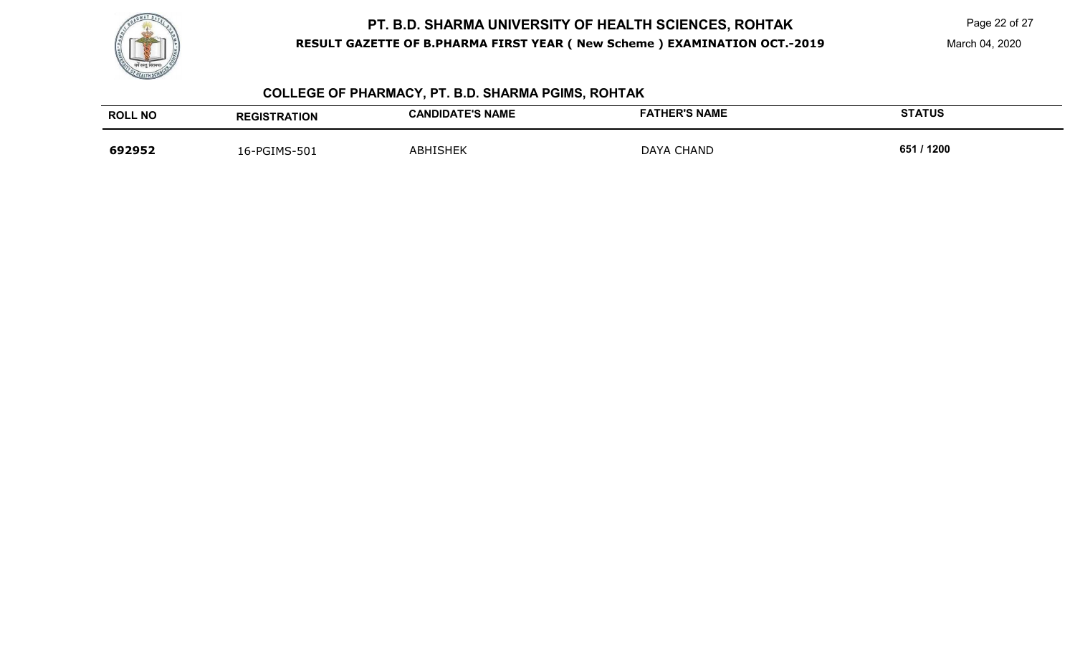

Page 22 of 27

March 04, 2020

## **COLLEGE OF PHARMACY, PT. B.D. SHARMA PGIMS, ROHTAK**

| <b>ROLL NO</b> | <b>REGISTRATION</b> | <b>CANDIDATE'S NAME</b> | <b>FATHER'S NAME</b> | <b>STATUS</b> |
|----------------|---------------------|-------------------------|----------------------|---------------|
| 692952         | 16-PGIMS-501        | ABHISHEK                | <b>DAYA CHAND</b>    | 651 / 1200    |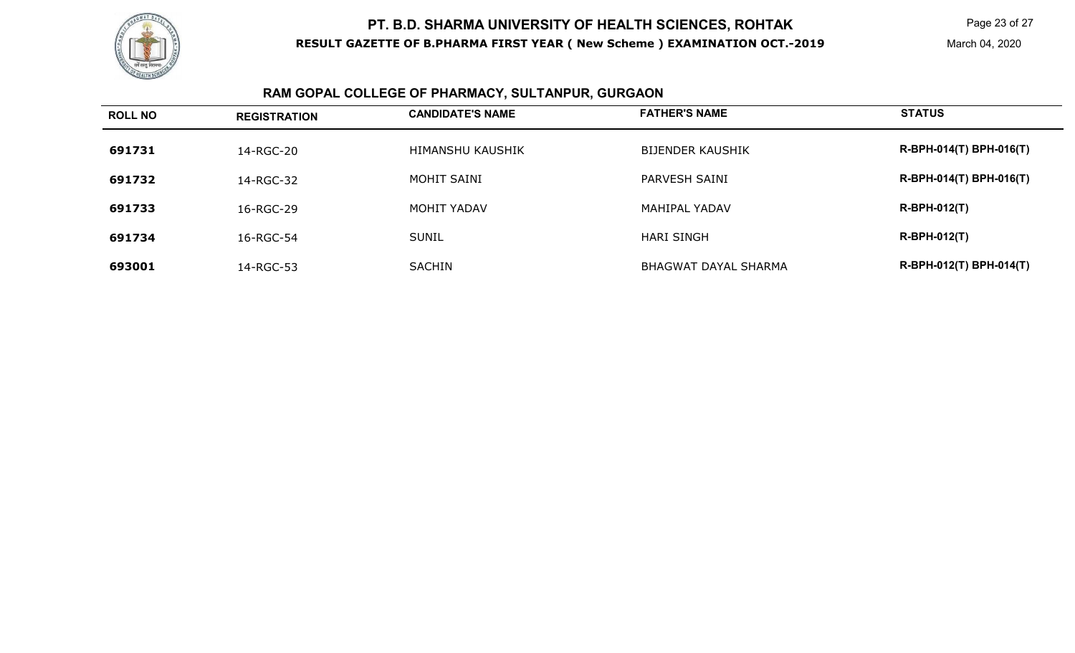![](_page_22_Picture_0.jpeg)

## **RAM GOPAL COLLEGE OF PHARMACY, SULTANPUR, GURGAON**

| <b>ROLL NO</b> | <b>REGISTRATION</b> | <b>CANDIDATE'S NAME</b> | <b>FATHER'S NAME</b>        | <b>STATUS</b>           |
|----------------|---------------------|-------------------------|-----------------------------|-------------------------|
| 691731         | 14-RGC-20           | <b>HIMANSHU KAUSHIK</b> | <b>BIJENDER KAUSHIK</b>     | R-BPH-014(T) BPH-016(T) |
| 691732         | 14-RGC-32           | MOHIT SAINI             | PARVESH SAINI               | R-BPH-014(T) BPH-016(T) |
| 691733         | 16-RGC-29           | MOHIT YADAV             | <b>MAHIPAL YADAV</b>        | $R-BPH-012(T)$          |
| 691734         | 16-RGC-54           | <b>SUNIL</b>            | <b>HARI SINGH</b>           | $R-BPH-012(T)$          |
| 693001         | 14-RGC-53           | <b>SACHIN</b>           | <b>BHAGWAT DAYAL SHARMA</b> | R-BPH-012(T) BPH-014(T) |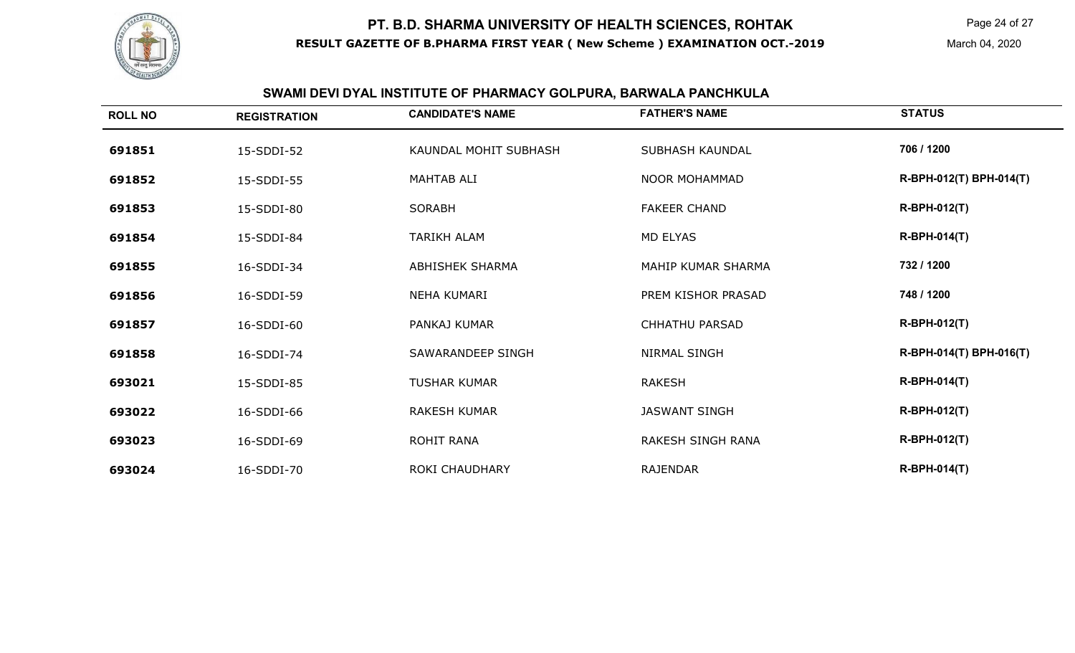![](_page_23_Picture_0.jpeg)

Page 24 of 27

March 04, 2020

## **SWAMI DEVI DYAL INSTITUTE OF PHARMACY GOLPURA, BARWALA PANCHKULA**

| <b>ROLL NO</b> | <b>REGISTRATION</b> | <b>CANDIDATE'S NAME</b> | <b>FATHER'S NAME</b>   | <b>STATUS</b>           |
|----------------|---------------------|-------------------------|------------------------|-------------------------|
| 691851         | 15-SDDI-52          | KAUNDAL MOHIT SUBHASH   | <b>SUBHASH KAUNDAL</b> | 706 / 1200              |
| 691852         | 15-SDDI-55          | MAHTAB ALI              | <b>NOOR MOHAMMAD</b>   | R-BPH-012(T) BPH-014(T) |
| 691853         | 15-SDDI-80          | <b>SORABH</b>           | <b>FAKEER CHAND</b>    | <b>R-BPH-012(T)</b>     |
| 691854         | 15-SDDI-84          | <b>TARIKH ALAM</b>      | <b>MD ELYAS</b>        | <b>R-BPH-014(T)</b>     |
| 691855         | 16-SDDI-34          | <b>ABHISHEK SHARMA</b>  | MAHIP KUMAR SHARMA     | 732 / 1200              |
| 691856         | 16-SDDI-59          | <b>NEHA KUMARI</b>      | PREM KISHOR PRASAD     | 748 / 1200              |
| 691857         | 16-SDDI-60          | PANKAJ KUMAR            | <b>CHHATHU PARSAD</b>  | <b>R-BPH-012(T)</b>     |
| 691858         | 16-SDDI-74          | SAWARANDEEP SINGH       | <b>NIRMAL SINGH</b>    | R-BPH-014(T) BPH-016(T) |
| 693021         | 15-SDDI-85          | <b>TUSHAR KUMAR</b>     | <b>RAKESH</b>          | <b>R-BPH-014(T)</b>     |
| 693022         | 16-SDDI-66          | <b>RAKESH KUMAR</b>     | <b>JASWANT SINGH</b>   | <b>R-BPH-012(T)</b>     |
| 693023         | 16-SDDI-69          | ROHIT RANA              | RAKESH SINGH RANA      | <b>R-BPH-012(T)</b>     |
| 693024         | 16-SDDI-70          | <b>ROKI CHAUDHARY</b>   | <b>RAJENDAR</b>        | <b>R-BPH-014(T)</b>     |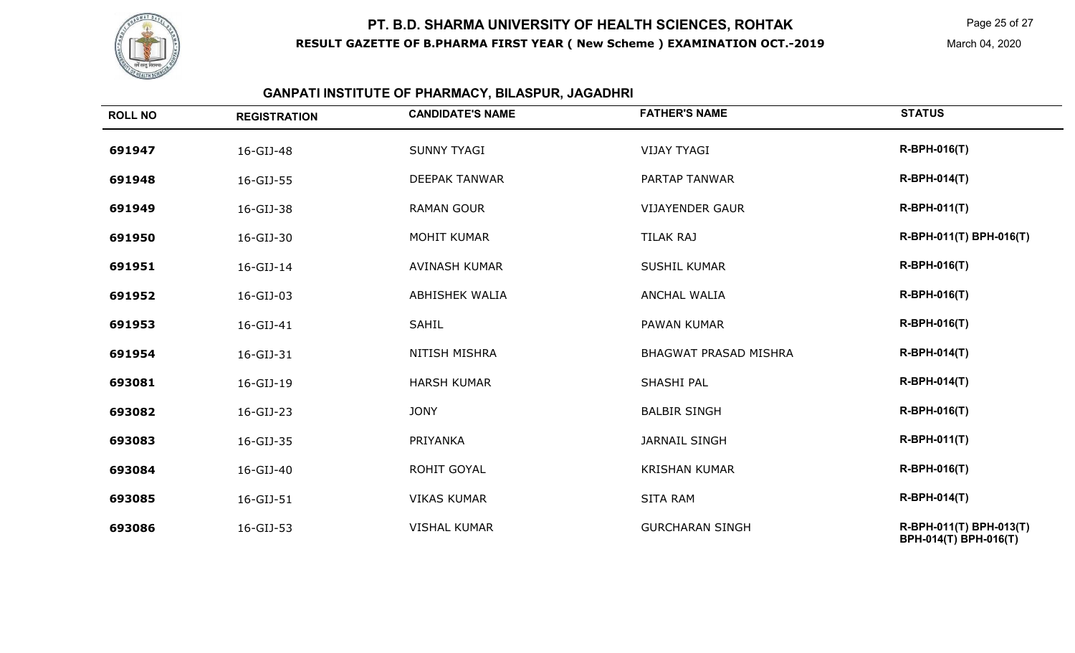![](_page_24_Picture_0.jpeg)

Page 25 of 27

March 04, 2020

#### **GANPATI INSTITUTE OF PHARMACY, BILASPUR, JAGADHRI**

| <b>ROLL NO</b> | <b>REGISTRATION</b> | <b>CANDIDATE'S NAME</b> | <b>FATHER'S NAME</b>         | <b>STATUS</b>                                    |
|----------------|---------------------|-------------------------|------------------------------|--------------------------------------------------|
| 691947         | 16-GIJ-48           | <b>SUNNY TYAGI</b>      | <b>VIJAY TYAGI</b>           | <b>R-BPH-016(T)</b>                              |
| 691948         | 16-GIJ-55           | <b>DEEPAK TANWAR</b>    | PARTAP TANWAR                | <b>R-BPH-014(T)</b>                              |
| 691949         | 16-GIJ-38           | <b>RAMAN GOUR</b>       | <b>VIJAYENDER GAUR</b>       | <b>R-BPH-011(T)</b>                              |
| 691950         | 16-GIJ-30           | <b>MOHIT KUMAR</b>      | <b>TILAK RAJ</b>             | R-BPH-011(T) BPH-016(T)                          |
| 691951         | 16-GIJ-14           | <b>AVINASH KUMAR</b>    | <b>SUSHIL KUMAR</b>          | <b>R-BPH-016(T)</b>                              |
| 691952         | 16-GIJ-03           | <b>ABHISHEK WALIA</b>   | <b>ANCHAL WALIA</b>          | <b>R-BPH-016(T)</b>                              |
| 691953         | 16-GIJ-41           | SAHIL                   | PAWAN KUMAR                  | <b>R-BPH-016(T)</b>                              |
| 691954         | 16-GIJ-31           | <b>NITISH MISHRA</b>    | <b>BHAGWAT PRASAD MISHRA</b> | <b>R-BPH-014(T)</b>                              |
| 693081         | 16-GIJ-19           | <b>HARSH KUMAR</b>      | SHASHI PAL                   | <b>R-BPH-014(T)</b>                              |
| 693082         | 16-GIJ-23           | <b>JONY</b>             | <b>BALBIR SINGH</b>          | <b>R-BPH-016(T)</b>                              |
| 693083         | 16-GIJ-35           | PRIYANKA                | <b>JARNAIL SINGH</b>         | $R-BPH-011(T)$                                   |
| 693084         | 16-GIJ-40           | <b>ROHIT GOYAL</b>      | <b>KRISHAN KUMAR</b>         | <b>R-BPH-016(T)</b>                              |
| 693085         | 16-GIJ-51           | <b>VIKAS KUMAR</b>      | <b>SITA RAM</b>              | <b>R-BPH-014(T)</b>                              |
| 693086         | 16-GIJ-53           | <b>VISHAL KUMAR</b>     | <b>GURCHARAN SINGH</b>       | R-BPH-011(T) BPH-013(T)<br>BPH-014(T) BPH-016(T) |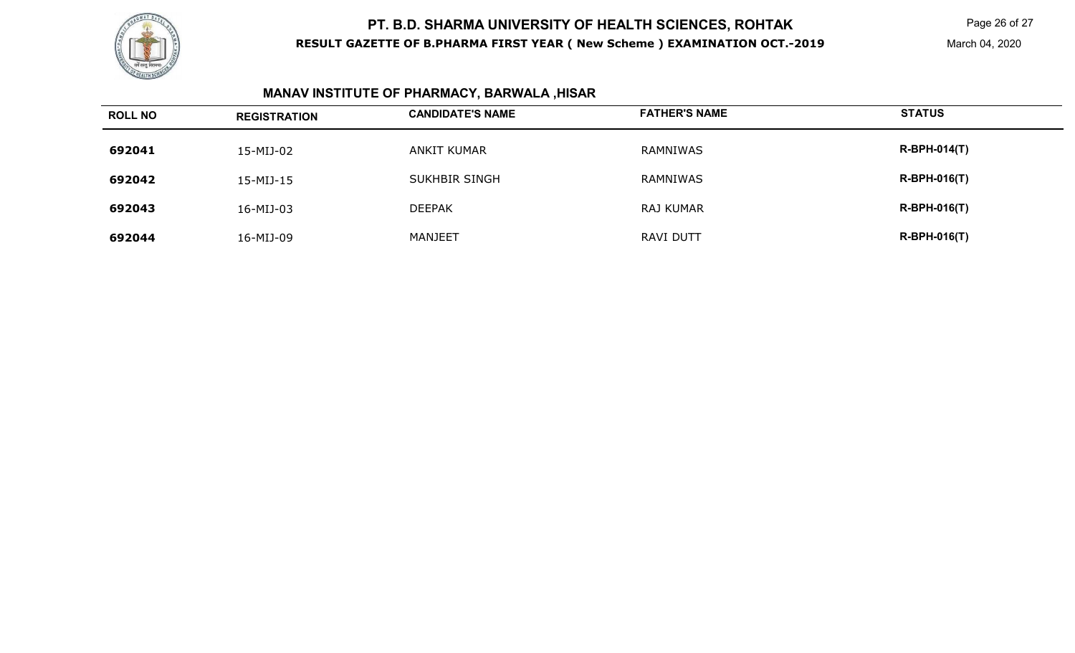![](_page_25_Picture_0.jpeg)

Page 26 of 27

March 04, 2020

## **MANAV INSTITUTE OF PHARMACY, BARWALA ,HISAR**

| <b>ROLL NO</b> | <b>REGISTRATION</b> | <b>CANDIDATE'S NAME</b> | <b>FATHER'S NAME</b> | <b>STATUS</b>  |
|----------------|---------------------|-------------------------|----------------------|----------------|
| 692041         | 15-MIJ-02           | ANKIT KUMAR             | RAMNIWAS             | $R-BPH-014(T)$ |
| 692042         | 15-MIJ-15           | <b>SUKHBIR SINGH</b>    | RAMNIWAS             | $R-BPH-016(T)$ |
| 692043         | 16-MIJ-03           | <b>DEEPAK</b>           | RAJ KUMAR            | $R-BPH-016(T)$ |
| 692044         | 16-MIJ-09           | MANJEET                 | <b>RAVI DUTT</b>     | $R-BPH-016(T)$ |